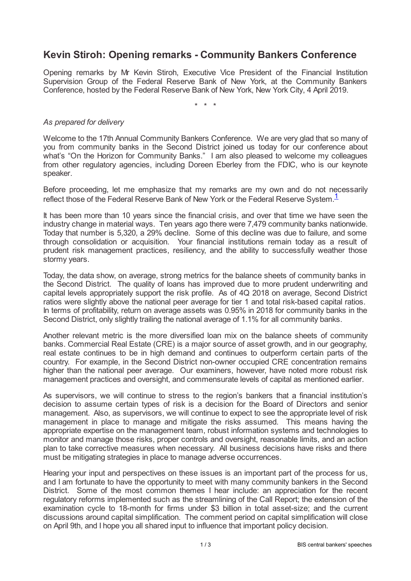## **Kevin Stiroh: Opening remarks - Community Bankers Conference**

Opening remarks by Mr Kevin Stiroh, Executive Vice President of the Financial Institution Supervision Group of the Federal Reserve Bank of New York, at the Community Bankers Conference, hosted by the Federal Reserve Bank of New York, New York City, 4 April 2019.

<span id="page-0-0"></span>\* \* \*

## *As prepared for delivery*

Welcome to the 17th Annual Community Bankers Conference. We are very glad that so many of you from community banks in the Second District joined us today for our conference about what's "On the Horizon for Community Banks." I am also pleased to welcome my colleagues from other regulatory agencies, including Doreen Eberley from the FDIC, who is our keynote speaker.

Before proceeding, let me emphasize that my remarks are my own and do not necessarily reflect those of the Federal Reserve Bank of New York or the Federal Reserve System.<sup>[1](#page-2-0)</sup>

It has been more than 10 years since the financial crisis, and over that time we have seen the industry change in material ways. Ten years ago there were 7,479 community banks nationwide. Today that number is 5,320, a 29% decline. Some of this decline was due to failure, and some through consolidation or acquisition. Your financial institutions remain today as a result of prudent risk management practices, resiliency, and the ability to successfully weather those stormy years.

Today, the data show, on average, strong metrics for the balance sheets of community banks in the Second District. The quality of loans has improved due to more prudent underwriting and capital levels appropriately support the risk profile. As of 4Q 2018 on average, Second District ratios were slightly above the national peer average for tier 1 and total risk-based capital ratios. In terms of profitability, return on average assets was 0.95% in 2018 for community banks in the Second District, only slightly trailing the national average of 1.1% for all community banks.

Another relevant metric is the more diversified loan mix on the balance sheets of community banks. Commercial Real Estate (CRE) is a major source of asset growth, and in our geography, real estate continues to be in high demand and continues to outperform certain parts of the country. For example, in the Second District non-owner occupied CRE concentration remains higher than the national peer average. Our examiners, however, have noted more robust risk management practices and oversight, and commensurate levels of capital as mentioned earlier.

As supervisors, we will continue to stress to the region's bankers that a financial institution's decision to assume certain types of risk is a decision for the Board of Directors and senior management. Also, as supervisors, we will continue to expect to see the appropriate level of risk management in place to manage and mitigate the risks assumed. This means having the appropriate expertise on the management team, robust information systems and technologies to monitor and manage those risks, proper controls and oversight, reasonable limits, and an action plan to take corrective measures when necessary. All business decisions have risks and there must be mitigating strategies in place to manage adverse occurrences.

Hearing your input and perspectives on these issues is an important part of the process for us, and I am fortunate to have the opportunity to meet with many community bankers in the Second District. Some of the most common themes I hear include: an appreciation for the recent regulatory reforms implemented such as the streamlining of the Call Report; the extension of the examination cycle to 18-month for firms under \$3 billion in total asset-size; and the current discussions around capital simplification. The comment period on capital simplification will close on April 9th, and I hope you all shared input to influence that important policy decision.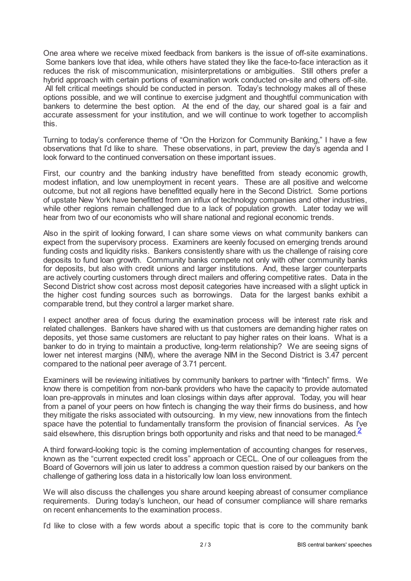One area where we receive mixed feedback from bankers is the issue of off-site examinations. Some bankers love that idea, while others have stated they like the face-to-face interaction as it reduces the risk of miscommunication, misinterpretations or ambiguities. Still others prefer a hybrid approach with certain portions of examination work conducted on-site and others off-site. All felt critical meetings should be conducted in person. Today's technology makes all of these options possible, and we will continue to exercise judgment and thoughtful communication with bankers to determine the best option. At the end of the day, our shared goal is a fair and accurate assessment for your institution, and we will continue to work together to accomplish this.

Turning to today's conference theme of "On the Horizon for Community Banking," I have a few observations that I'd like to share. These observations, in part, preview the day's agenda and I look forward to the continued conversation on these important issues.

First, our country and the banking industry have benefitted from steady economic growth, modest inflation, and low unemployment in recent years. These are all positive and welcome outcome, but not all regions have benefitted equally here in the Second District. Some portions of upstate New York have benefitted from an influx of technology companies and other industries, while other regions remain challenged due to a lack of population growth. Later today we will hear from two of our economists who will share national and regional economic trends.

Also in the spirit of looking forward, I can share some views on what community bankers can expect from the supervisory process. Examiners are keenly focused on emerging trends around funding costs and liquidity risks. Bankers consistently share with us the challenge of raising core deposits to fund loan growth. Community banks compete not only with other community banks for deposits, but also with credit unions and larger institutions. And, these larger counterparts are actively courting customers through direct mailers and offering competitive rates. Data in the Second District show cost across most deposit categories have increased with a slight uptick in the higher cost funding sources such as borrowings. Data for the largest banks exhibit a comparable trend, but they control a larger market share.

I expect another area of focus during the examination process will be interest rate risk and related challenges. Bankers have shared with us that customers are demanding higher rates on deposits, yet those same customers are reluctant to pay higher rates on their loans. What is a banker to do in trying to maintain a productive, long-term relationship? We are seeing signs of lower net interest margins (NIM), where the average NIM in the Second District is 3.47 percent compared to the national peer average of 3.71 percent.

Examiners will be reviewing initiatives by community bankers to partner with "fintech" firms. We know there is competition from non-bank providers who have the capacity to provide automated loan pre-approvals in minutes and loan closings within days after approval. Today, you will hear from a panel of your peers on how fintech is changing the way their firms do business, and how they mitigate the risks associated with outsourcing. In my view, new innovations from the fintech space have the potential to fundamentally transform the provision of financial services. As I've said elsewhere, this disruption brings both opportunity and risks and that need to be managed  $\frac{2}{3}$  $\frac{2}{3}$  $\frac{2}{3}$ 

<span id="page-1-0"></span>A third forward-looking topic is the coming implementation of accounting changes for reserves, known as the "current expected credit loss" approach or CECL. One of our colleagues from the Board of Governors will join us later to address a common question raised by our bankers on the challenge of gathering loss data in a historically low loan loss environment.

We will also discuss the challenges you share around keeping abreast of consumer compliance requirements. During today's luncheon, our head of consumer compliance will share remarks on recent enhancements to the examination process.

I'd like to close with a few words about a specific topic that is core to the community bank